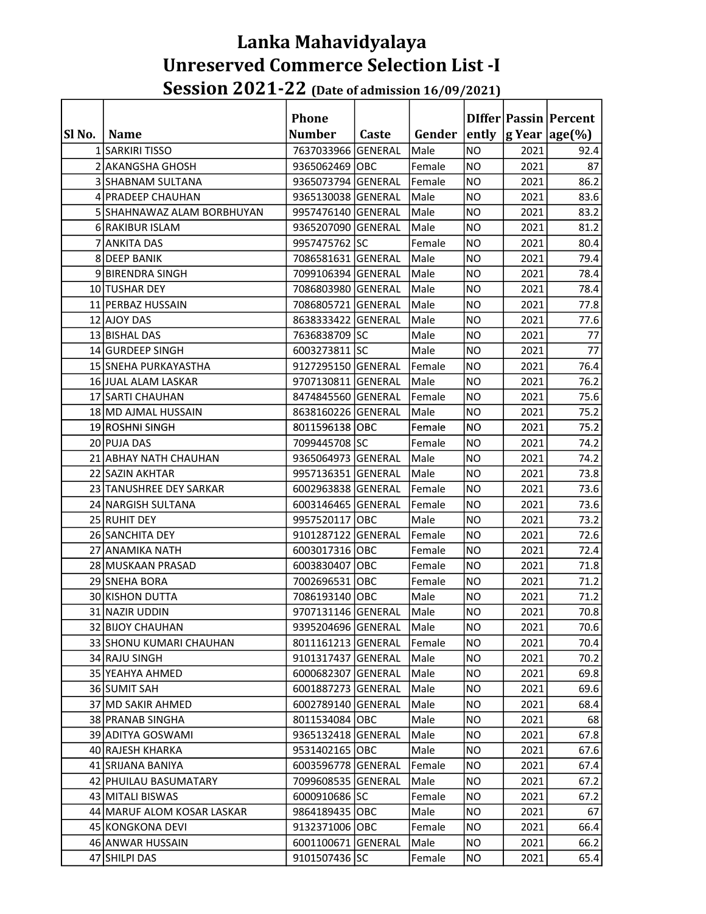### Lanka Mahavidyalaya Unreserved Commerce Selection List -I Session 2021-22 (Date of admission 16/09/2021)

|        |                              | <b>Phone</b>       |       |        |           |      | DIffer   Passin   Percent  |
|--------|------------------------------|--------------------|-------|--------|-----------|------|----------------------------|
| SI No. | <b>Name</b>                  | <b>Number</b>      | Caste | Gender |           |      | ently  g Year   age $(\%)$ |
|        | 1 SARKIRI TISSO              | 7637033966 GENERAL |       | Male   | <b>NO</b> | 2021 | 92.4                       |
|        | 2 AKANGSHA GHOSH             | 9365062469 OBC     |       | Female | <b>NO</b> | 2021 | 87                         |
|        | 3 SHABNAM SULTANA            | 9365073794 GENERAL |       | Female | <b>NO</b> | 2021 | 86.2                       |
|        | 4 PRADEEP CHAUHAN            | 9365130038 GENERAL |       | Male   | <b>NO</b> | 2021 | 83.6                       |
|        | 5 SHAHNAWAZ ALAM BORBHUYAN   | 9957476140 GENERAL |       | Male   | <b>NO</b> | 2021 | 83.2                       |
|        | 6 RAKIBUR ISLAM              | 9365207090 GENERAL |       | Male   | <b>NO</b> | 2021 | 81.2                       |
|        | 7 ANKITA DAS                 | 9957475762 SC      |       | Female | <b>NO</b> | 2021 | 80.4                       |
|        | 8 DEEP BANIK                 | 7086581631 GENERAL |       | Male   | <b>NO</b> | 2021 | 79.4                       |
|        | 9 BIRENDRA SINGH             | 7099106394 GENERAL |       | Male   | <b>NO</b> | 2021 | 78.4                       |
|        | 10 TUSHAR DEY                | 7086803980 GENERAL |       | Male   | <b>NO</b> | 2021 | 78.4                       |
|        | 11 PERBAZ HUSSAIN            | 7086805721 GENERAL |       | Male   | <b>NO</b> | 2021 | 77.8                       |
|        | 12 AJOY DAS                  | 8638333422 GENERAL |       | Male   | <b>NO</b> | 2021 | 77.6                       |
|        | 13 BISHAL DAS                | 7636838709 SC      |       | Male   | <b>NO</b> | 2021 | 77                         |
|        | 14 GURDEEP SINGH             | 6003273811 SC      |       | Male   | <b>NO</b> | 2021 | 77                         |
|        | 15 SNEHA PURKAYASTHA         | 9127295150 GENERAL |       | Female | <b>NO</b> | 2021 | 76.4                       |
|        | 16 JUAL ALAM LASKAR          | 9707130811 GENERAL |       | Male   | <b>NO</b> | 2021 | 76.2                       |
|        | 17 SARTI CHAUHAN             | 8474845560 GENERAL |       | Female | <b>NO</b> | 2021 | 75.6                       |
|        | 18 MD AJMAL HUSSAIN          | 8638160226 GENERAL |       | Male   | <b>NO</b> | 2021 | 75.2                       |
|        | 19 ROSHNI SINGH              | 8011596138 OBC     |       | Female | <b>NO</b> | 2021 | 75.2                       |
|        | 20 PUJA DAS                  | 7099445708 SC      |       | Female | <b>NO</b> | 2021 | 74.2                       |
|        | 21 ABHAY NATH CHAUHAN        | 9365064973 GENERAL |       | Male   | <b>NO</b> | 2021 | 74.2                       |
|        | 22 SAZIN AKHTAR              | 9957136351 GENERAL |       | Male   | <b>NO</b> | 2021 | 73.8                       |
|        | 23 TANUSHREE DEY SARKAR      | 6002963838 GENERAL |       | Female | <b>NO</b> | 2021 | 73.6                       |
|        | 24 NARGISH SULTANA           | 6003146465 GENERAL |       | Female | <b>NO</b> | 2021 | 73.6                       |
|        | 25 RUHIT DEY                 | 9957520117 OBC     |       | Male   | <b>NO</b> | 2021 | 73.2                       |
|        | 26 SANCHITA DEY              | 9101287122 GENERAL |       | Female | <b>NO</b> | 2021 | 72.6                       |
|        | 27 ANAMIKA NATH              | 6003017316 OBC     |       | Female | <b>NO</b> | 2021 | 72.4                       |
|        | 28 MUSKAAN PRASAD            | 6003830407 OBC     |       | Female | <b>NO</b> | 2021 | 71.8                       |
|        | 29 SNEHA BORA                | 7002696531 OBC     |       | Female | <b>NO</b> | 2021 | 71.2                       |
|        | 30 KISHON DUTTA              | 7086193140 OBC     |       | Male   | <b>NO</b> | 2021 | 71.2                       |
|        | 31 NAZIR UDDIN               | 9707131146 GENERAL |       | Male   | <b>NO</b> | 2021 | 70.8                       |
|        | 32 BIJOY CHAUHAN             | 9395204696 GENERAL |       | Male   | <b>NO</b> | 2021 | 70.6                       |
|        | 33 SHONU KUMARI CHAUHAN      | 8011161213 GENERAL |       | Female | <b>NO</b> | 2021 | 70.4                       |
|        | 34 RAJU SINGH                | 9101317437 GENERAL |       | Male   | <b>NO</b> | 2021 | 70.2                       |
|        | 35 YEAHYA AHMED              | 6000682307 GENERAL |       | Male   | NO.       | 2021 | 69.8                       |
|        | 36 SUMIT SAH                 | 6001887273 GENERAL |       | Male   | NO.       | 2021 | 69.6                       |
|        | 37 MD SAKIR AHMED            | 6002789140 GENERAL |       | Male   | NO.       | 2021 | 68.4                       |
|        | 38 PRANAB SINGHA             | 8011534084 OBC     |       | Male   | <b>NO</b> | 2021 | 68                         |
|        | 39 ADITYA GOSWAMI            | 9365132418 GENERAL |       | Male   | <b>NO</b> | 2021 | 67.8                       |
|        | 40 RAJESH KHARKA             | 9531402165 OBC     |       | Male   | NO.       | 2021 | 67.6                       |
|        | 41 SRIJANA BANIYA            | 6003596778 GENERAL |       | Female | <b>NO</b> | 2021 | 67.4                       |
|        | 42 PHUILAU BASUMATARY        | 7099608535 GENERAL |       | Male   | NO.       | 2021 | 67.2                       |
|        | 43 MITALI BISWAS             | 6000910686 SC      |       | Female | <b>NO</b> | 2021 | 67.2                       |
|        | 44   MARUF ALOM KOSAR LASKAR | 9864189435 OBC     |       | Male   | NO.       | 2021 | 67                         |
|        | 45 KONGKONA DEVI             | 9132371006 OBC     |       | Female | <b>NO</b> | 2021 | 66.4                       |
|        | 46 ANWAR HUSSAIN             | 6001100671 GENERAL |       | Male   | <b>NO</b> | 2021 | 66.2                       |
|        | 47 SHILPI DAS                | 9101507436 SC      |       | Female | <b>NO</b> | 2021 | 65.4                       |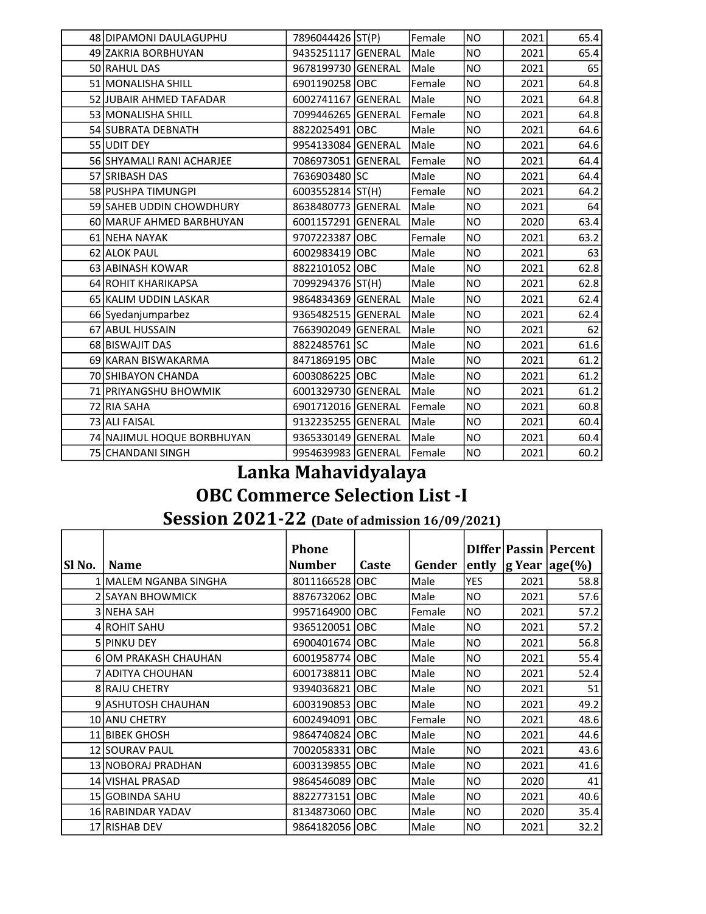| 48 DIPAMONI DAULAGUPHU     | 7896044426 ST(P)   | Female | <b>NO</b> | 2021 | 65.4 |
|----------------------------|--------------------|--------|-----------|------|------|
| 49 ZAKRIA BORBHUYAN        | 9435251117 GENERAL | Male   | <b>NO</b> | 2021 | 65.4 |
| 50 RAHUL DAS               | 9678199730 GENERAL | Male   | <b>NO</b> | 2021 | 65   |
| 51 MONALISHA SHILL         | 6901190258 OBC     | Female | <b>NO</b> | 2021 | 64.8 |
| 52 JJUBAIR AHMED TAFADAR   | 6002741167 GENERAL | Male   | <b>NO</b> | 2021 | 64.8 |
| 53 MONALISHA SHILL         | 7099446265 GENERAL | Female | <b>NO</b> | 2021 | 64.8 |
| 54 SUBRATA DEBNATH         | 8822025491 OBC     | Male   | <b>NO</b> | 2021 | 64.6 |
| 55 UDIT DEY                | 9954133084 GENERAL | Male   | <b>NO</b> | 2021 | 64.6 |
| 56 SHYAMALI RANI ACHARJEE  | 7086973051 GENERAL | Female | <b>NO</b> | 2021 | 64.4 |
| 57 SRIBASH DAS             | 7636903480 SC      | Male   | <b>NO</b> | 2021 | 64.4 |
| 58 PUSHPA TIMUNGPI         | 6003552814 ST(H)   | Female | <b>NO</b> | 2021 | 64.2 |
| 59 SAHEB UDDIN CHOWDHURY   | 8638480773 GENERAL | Male   | <b>NO</b> | 2021 | 64   |
| 60 MARUF AHMED BARBHUYAN   | 6001157291 GENERAL | Male   | <b>NO</b> | 2020 | 63.4 |
| 61 NEHA NAYAK              | 9707223387 OBC     | Female | <b>NO</b> | 2021 | 63.2 |
| 62 ALOK PAUL               | 6002983419 OBC     | Male   | <b>NO</b> | 2021 | 63   |
| 63 ABINASH KOWAR           | 8822101052 OBC     | Male   | <b>NO</b> | 2021 | 62.8 |
| 64 ROHIT KHARIKAPSA        | 7099294376 ST(H)   | Male   | <b>NO</b> | 2021 | 62.8 |
| 65 KALIM UDDIN LASKAR      | 9864834369 GENERAL | Male   | <b>NO</b> | 2021 | 62.4 |
| 66 Syedanjumparbez         | 9365482515 GENERAL | Male   | <b>NO</b> | 2021 | 62.4 |
| 67 ABUL HUSSAIN            | 7663902049 GENERAL | Male   | <b>NO</b> | 2021 | 62   |
| 68 BISWAJIT DAS            | 8822485761 SC      | Male   | <b>NO</b> | 2021 | 61.6 |
| 69 KARAN BISWAKARMA        | 8471869195 OBC     | Male   | <b>NO</b> | 2021 | 61.2 |
| 70 SHIBAYON CHANDA         | 6003086225 OBC     | Male   | <b>NO</b> | 2021 | 61.2 |
| 71 PRIYANGSHU BHOWMIK      | 6001329730 GENERAL | Male   | <b>NO</b> | 2021 | 61.2 |
| 72 RIA SAHA                | 6901712016 GENERAL | Female | <b>NO</b> | 2021 | 60.8 |
| 73 ALI FAISAL              | 9132235255 GENERAL | Male   | <b>NO</b> | 2021 | 60.4 |
| 74 NAJIMUL HOQUE BORBHUYAN | 9365330149 GENERAL | Male   | <b>NO</b> | 2021 | 60.4 |
| 75 CHANDANI SINGH          | 9954639983 GENERAL | Female | <b>NO</b> | 2021 | 60.2 |

# Lanka Mahavidyalaya

# OBC Commerce Selection List -I

### Session 2021-22 (Date of admission 16/09/2021)

|        |                       | <b>Phone</b>   |       |        |                |      | DIffer   Passin   Percent               |
|--------|-----------------------|----------------|-------|--------|----------------|------|-----------------------------------------|
| SI No. | <b>Name</b>           | <b>Number</b>  | Caste | Gender |                |      | ently $ g \text{ Year}  \text{age}(\%)$ |
|        | 1 MALEM NGANBA SINGHA | 8011166528 OBC |       | Male   | <b>YES</b>     | 2021 | 58.8                                    |
|        | 2 SAYAN BHOWMICK      | 8876732062 OBC |       | Male   | <b>NO</b>      | 2021 | 57.6                                    |
|        | 3 NEHA SAH            | 9957164900 OBC |       | Female | N <sub>O</sub> | 2021 | 57.2                                    |
|        | 4 ROHIT SAHU          | 9365120051 OBC |       | Male   | NO.            | 2021 | 57.2                                    |
|        | 5 PINKU DEY           | 6900401674 OBC |       | Male   | NO.            | 2021 | 56.8                                    |
|        | 6 OM PRAKASH CHAUHAN  | 6001958774 OBC |       | Male   | NO.            | 2021 | 55.4                                    |
|        | 7 IADITYA CHOUHAN     | 6001738811 OBC |       | Male   | NO.            | 2021 | 52.4                                    |
|        | 8 RAJU CHETRY         | 9394036821 OBC |       | Male   | N <sub>O</sub> | 2021 | 51                                      |
|        | 9 ASHUTOSH CHAUHAN    | 6003190853 OBC |       | Male   | NO.            | 2021 | 49.2                                    |
|        | <b>10 ANU CHETRY</b>  | 6002494091 OBC |       | Female | <b>NO</b>      | 2021 | 48.6                                    |
|        | 11 BIBEK GHOSH        | 9864740824 OBC |       | Male   | <b>NO</b>      | 2021 | 44.6                                    |
|        | <b>12 SOURAV PAUL</b> | 7002058331 OBC |       | Male   | <b>NO</b>      | 2021 | 43.6                                    |
|        | 13 NOBORAJ PRADHAN    | 6003139855 OBC |       | Male   | NO.            | 2021 | 41.6                                    |
|        | 14 VISHAL PRASAD      | 9864546089 OBC |       | Male   | NO.            | 2020 | 41                                      |
|        | 15 GOBINDA SAHU       | 8822773151 OBC |       | Male   | NO.            | 2021 | 40.6                                    |
|        | 16 RABINDAR YADAV     | 8134873060 OBC |       | Male   | NO.            | 2020 | 35.4                                    |
|        | 17 RISHAB DEV         | 9864182056 OBC |       | Male   | <b>NO</b>      | 2021 | 32.2                                    |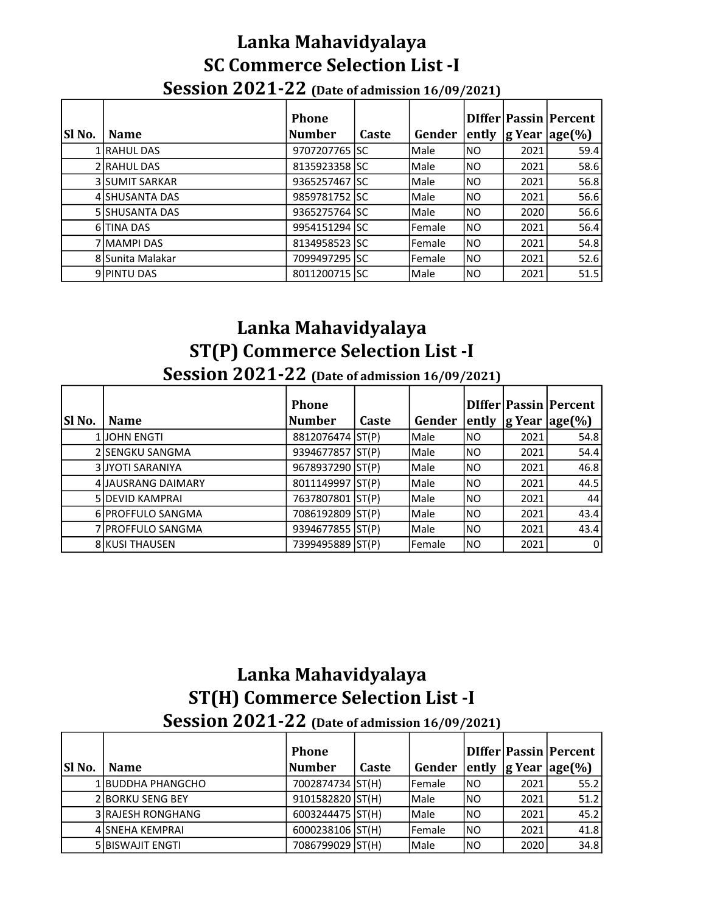#### Lanka Mahavidyalaya SC Commerce Selection List -I Session 2021-22 (Date of admission 16/09/2021)

|               |                       | <b>Phone</b>  |              |               |       |      | DIffer Passin Percent        |
|---------------|-----------------------|---------------|--------------|---------------|-------|------|------------------------------|
| <b>SI No.</b> | <b>Name</b>           | Number        | <b>Caste</b> | Gender        | ently |      | $ g \text{ Year}   age(\%) $ |
|               | 1 RAHUL DAS           | 9707207765 SC |              | Male          | INO   | 2021 | 59.4                         |
|               | 2 RAHUL DAS           | 8135923358 SC |              | Male          | INO   | 2021 | 58.6                         |
|               | <b>3 SUMIT SARKAR</b> | 9365257467 SC |              | Male          | INO   | 2021 | 56.8                         |
|               | 4 SHUSANTA DAS        | 9859781752 SC |              | Male          | INO   | 2021 | 56.6                         |
|               | <b>5 SHUSANTA DAS</b> | 9365275764 SC |              | Male          | INO   | 2020 | 56.6                         |
|               | 6 TINA DAS            | 9954151294 SC |              | <b>Female</b> | INO   | 2021 | 56.4                         |
|               | 7 MAMPI DAS           | 8134958523 SC |              | Female        | INO   | 2021 | 54.8                         |
|               | 8 Sunita Malakar      | 7099497295 SC |              | <b>Female</b> | INO   | 2021 | 52.6                         |
|               | 9 PINTU DAS           | 8011200715 SC |              | Male          | INO   | 2021 | 51.5                         |

# Lanka Mahavidyalaya ST(P) Commerce Selection List -I

|        | <b>Session 2021-22</b> (Date of admission 16/09/2021) |                        |       |             |           |      |                                                            |  |  |  |
|--------|-------------------------------------------------------|------------------------|-------|-------------|-----------|------|------------------------------------------------------------|--|--|--|
| Sl No. | <b>Name</b>                                           | <b>Phone</b><br>Number | Caste | Gender      | ently     |      | <b>DIffer Passin Percent</b><br>$\lg$ Year $\lg$ e $(\% )$ |  |  |  |
|        | <b>1 JOHN ENGTI</b>                                   | 8812076474 ST(P)       |       | <b>Male</b> | INO       | 2021 | 54.8                                                       |  |  |  |
|        | 2 SENGKU SANGMA                                       | 9394677857 ST(P)       |       | Male        | INO       | 2021 | 54.4                                                       |  |  |  |
|        | <b>3 JYOTI SARANIYA</b>                               | 9678937290 ST(P)       |       | Male        | INO       | 2021 | 46.8                                                       |  |  |  |
|        | 4 JAUSRANG DAIMARY                                    | 8011149997 ST(P)       |       | Male        | INO       | 2021 | 44.5                                                       |  |  |  |
|        | <b>5 DEVID KAMPRAI</b>                                | 7637807801 ST(P)       |       | Male        | <b>NO</b> | 2021 | 44                                                         |  |  |  |
|        | 6 PROFFULO SANGMA                                     | 7086192809 ST(P)       |       | Male        | INO       | 2021 | 43.4                                                       |  |  |  |
|        | 7 PROFFULO SANGMA                                     | 9394677855 ST(P)       |       | Male        | INO       | 2021 | 43.4                                                       |  |  |  |

8 KUSI THAUSEN 7399495889 ST(P) Female NO 2021 0

# Lanka Mahavidyalaya ST(H) Commerce Selection List -I

Session 2021-22 (Date of admission 16/09/2021)

|               |                           | <b>Phone</b>     |       |                |            |      | DIffer Passin Percent                       |
|---------------|---------------------------|------------------|-------|----------------|------------|------|---------------------------------------------|
| <b>SI</b> No. | <b>Name</b>               | Number           | Caste | Gender         |            |      | $\vert$ ently $\vert$ g Year $\vert$ age(%) |
|               | 1 BUDDHA PHANGCHO         | 7002874734 ST(H) |       | <b>IFemale</b> | INO        | 2021 | 55.2                                        |
|               | <b>2 BORKU SENG BEY</b>   | 9101582820 ST(H) |       | Male           | INO        | 2021 | 51.2                                        |
|               | <b>3 IRAJESH RONGHANG</b> | 6003244475 ST(H) |       | Male           | INO        | 2021 | 45.2                                        |
|               | 4 SNEHA KEMPRAI           | 6000238106 ST(H) |       | <b>IFemale</b> | <b>INO</b> | 2021 | 41.8                                        |
|               | <b>5 BISWAJIT ENGTI</b>   | 7086799029 ST(H) |       | Male           | INO        | 2020 | 34.8                                        |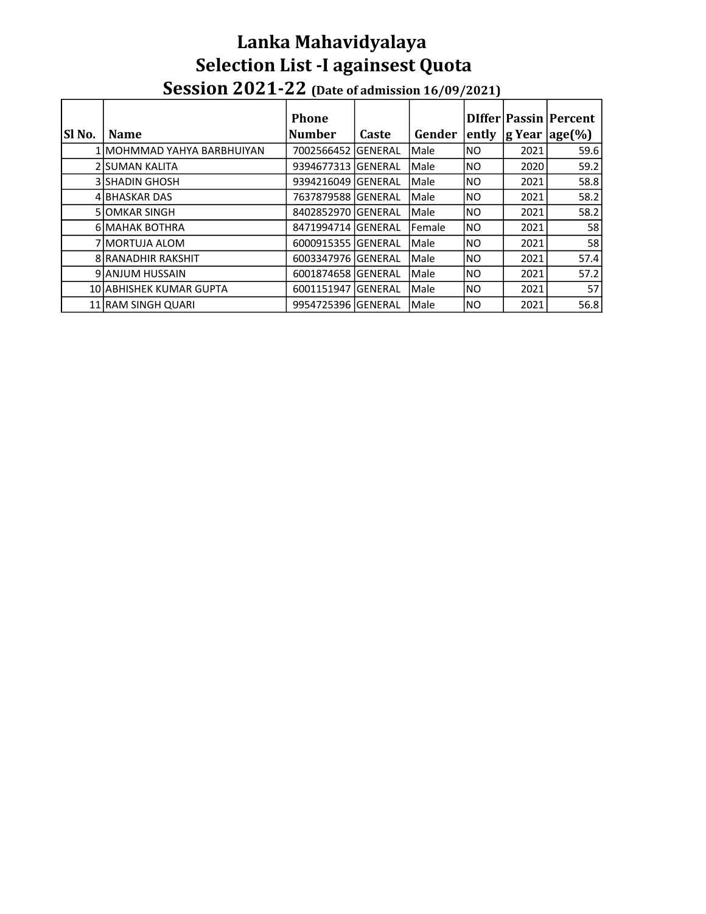### Session 2021-22 (Date of admission 16/09/2021) Lanka Mahavidyalaya Selection List -I againsest Quota

|        |                            | <b>Phone</b>       |       |                |       |      | DIffer   Passin   Percent |
|--------|----------------------------|--------------------|-------|----------------|-------|------|---------------------------|
| SI No. | <b>Name</b>                | <b>Number</b>      | Caste | Gender         | ently |      | $ g$ Year $ age(\%) $     |
|        | 1 MOHMMAD YAHYA BARBHUIYAN | 7002566452 GENERAL |       | Male           | INO   | 2021 | 59.6                      |
|        | 2 ISUMAN KALITA            | 9394677313 GENERAL |       | Male           | INO   | 2020 | 59.2                      |
|        | <b>3   SHADIN GHOSH</b>    | 9394216049 GENERAL |       | Male           | INO   | 2021 | 58.8                      |
|        | 4 BHASKAR DAS              |                    |       | Male           | INO   | 2021 | 58.2                      |
|        | <b>5 JOMKAR SINGH</b>      | 8402852970 GENERAL |       | Male           | INO   | 2021 | 58.2                      |
|        | <b>6 MAHAK BOTHRA</b>      | 8471994714 GENERAL |       | <b>IFemale</b> | INO.  | 2021 | 58 l                      |
|        | 7 IMORTUJA ALOM            | 6000915355 GENERAL |       | Male           | INO   | 2021 | <b>58</b>                 |
|        | <b>8 RANADHIR RAKSHIT</b>  | 6003347976 GENERAL |       | Male           | INO   | 2021 | 57.4                      |
|        | 9 JANJUM HUSSAIN           | 6001874658 GENERAL |       | Male           | INO   | 2021 | 57.2                      |
|        | 10 ABHISHEK KUMAR GUPTA    | 6001151947 GENERAL |       | Male           | INO   | 2021 | 57                        |
|        | 11 RAM SINGH QUARI         | 9954725396 GENERAL |       | Male           | INO   | 2021 | 56.8                      |